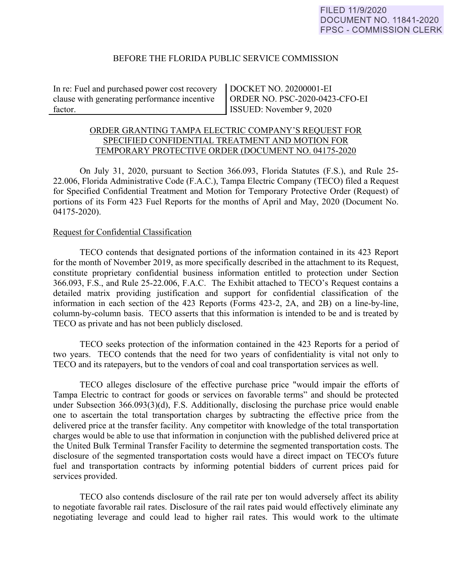## BEFORE THE FLORIDA PUBLIC SERVICE COMMISSION

In re: Fuel and purchased power cost recovery clause with generating performance incentive factor.

DOCKET NO. 20200001-EI ORDER NO. PSC-2020-0423-CFO-EI ISSUED: November 9, 2020

# ORDER GRANTING TAMPA ELECTRIC COMPANY'S REQUEST FOR SPECIFIED CONFIDENTIAL TREATMENT AND MOTION FOR TEMPORARY PROTECTIVE ORDER (DOCUMENT NO. 04175-2020

On July 31, 2020, pursuant to Section 366.093, Florida Statutes (F.S.), and Rule 25- 22.006, Florida Administrative Code (F.A.C.), Tampa Electric Company (TECO) filed a Request for Specified Confidential Treatment and Motion for Temporary Protective Order (Request) of portions of its Form 423 Fuel Reports for the months of April and May, 2020 (Document No. 04175-2020).

### Request for Confidential Classification

TECO contends that designated portions of the information contained in its 423 Report for the month of November 2019, as more specifically described in the attachment to its Request, constitute proprietary confidential business information entitled to protection under Section 366.093, F.S., and Rule 25-22.006, F.A.C. The Exhibit attached to TECO's Request contains a detailed matrix providing justification and support for confidential classification of the information in each section of the 423 Reports (Forms 423-2, 2A, and 2B) on a line-by-line, column-by-column basis. TECO asserts that this information is intended to be and is treated by TECO as private and has not been publicly disclosed.

TECO seeks protection of the information contained in the 423 Reports for a period of two years. TECO contends that the need for two years of confidentiality is vital not only to TECO and its ratepayers, but to the vendors of coal and coal transportation services as well.

TECO alleges disclosure of the effective purchase price "would impair the efforts of Tampa Electric to contract for goods or services on favorable terms" and should be protected under Subsection 366.093(3)(d), F.S. Additionally, disclosing the purchase price would enable one to ascertain the total transportation charges by subtracting the effective price from the delivered price at the transfer facility. Any competitor with knowledge of the total transportation charges would be able to use that information in conjunction with the published delivered price at the United Bulk Terminal Transfer Facility to determine the segmented transportation costs. The disclosure of the segmented transportation costs would have a direct impact on TECO's future fuel and transportation contracts by informing potential bidders of current prices paid for services provided.

TECO also contends disclosure of the rail rate per ton would adversely affect its ability to negotiate favorable rail rates. Disclosure of the rail rates paid would effectively eliminate any negotiating leverage and could lead to higher rail rates. This would work to the ultimate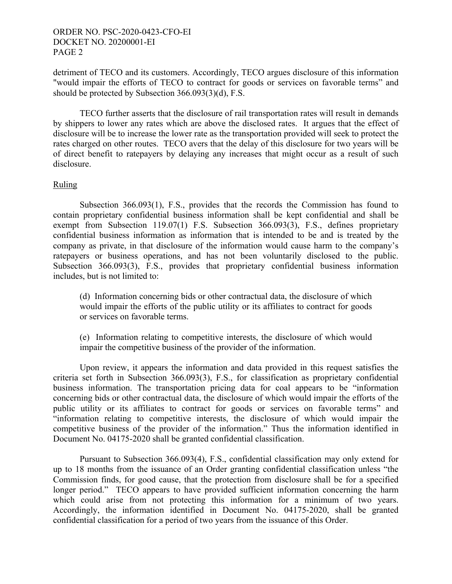## ORDER NO. PSC-2020-0423-CFO-EI DOCKET NO. 20200001-EI PAGE 2

detriment of TECO and its customers. Accordingly, TECO argues disclosure of this information "would impair the efforts of TECO to contract for goods or services on favorable terms" and should be protected by Subsection 366.093(3)(d), F.S.

TECO further asserts that the disclosure of rail transportation rates will result in demands by shippers to lower any rates which are above the disclosed rates. It argues that the effect of disclosure will be to increase the lower rate as the transportation provided will seek to protect the rates charged on other routes. TECO avers that the delay of this disclosure for two years will be of direct benefit to ratepayers by delaying any increases that might occur as a result of such disclosure.

## Ruling

Subsection 366.093(1), F.S., provides that the records the Commission has found to contain proprietary confidential business information shall be kept confidential and shall be exempt from Subsection 119.07(1) F.S. Subsection 366.093(3), F.S., defines proprietary confidential business information as information that is intended to be and is treated by the company as private, in that disclosure of the information would cause harm to the company's ratepayers or business operations, and has not been voluntarily disclosed to the public. Subsection 366.093(3), F.S., provides that proprietary confidential business information includes, but is not limited to:

(d) Information concerning bids or other contractual data, the disclosure of which would impair the efforts of the public utility or its affiliates to contract for goods or services on favorable terms.

(e) Information relating to competitive interests, the disclosure of which would impair the competitive business of the provider of the information.

 Upon review, it appears the information and data provided in this request satisfies the criteria set forth in Subsection 366.093(3), F.S., for classification as proprietary confidential business information. The transportation pricing data for coal appears to be "information concerning bids or other contractual data, the disclosure of which would impair the efforts of the public utility or its affiliates to contract for goods or services on favorable terms" and "information relating to competitive interests, the disclosure of which would impair the competitive business of the provider of the information." Thus the information identified in Document No. 04175-2020 shall be granted confidential classification.

 Pursuant to Subsection 366.093(4), F.S., confidential classification may only extend for up to 18 months from the issuance of an Order granting confidential classification unless "the Commission finds, for good cause, that the protection from disclosure shall be for a specified longer period." TECO appears to have provided sufficient information concerning the harm which could arise from not protecting this information for a minimum of two years. Accordingly, the information identified in Document No. 04175-2020, shall be granted confidential classification for a period of two years from the issuance of this Order.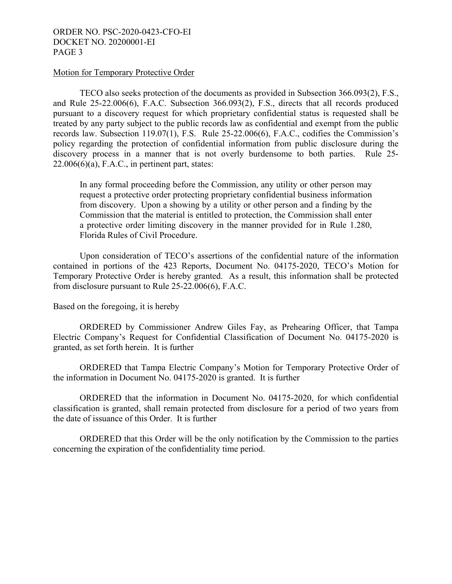## ORDER NO. PSC-2020-0423-CFO-EI DOCKET NO. 20200001-EI PAGE 3

### Motion for Temporary Protective Order

TECO also seeks protection of the documents as provided in Subsection 366.093(2), F.S., and Rule 25-22.006(6), F.A.C. Subsection 366.093(2), F.S., directs that all records produced pursuant to a discovery request for which proprietary confidential status is requested shall be treated by any party subject to the public records law as confidential and exempt from the public records law. Subsection 119.07(1), F.S. Rule 25-22.006(6), F.A.C., codifies the Commission's policy regarding the protection of confidential information from public disclosure during the discovery process in a manner that is not overly burdensome to both parties. Rule 25-  $22.006(6)(a)$ , F.A.C., in pertinent part, states:

In any formal proceeding before the Commission, any utility or other person may request a protective order protecting proprietary confidential business information from discovery. Upon a showing by a utility or other person and a finding by the Commission that the material is entitled to protection, the Commission shall enter a protective order limiting discovery in the manner provided for in Rule 1.280, Florida Rules of Civil Procedure.

 Upon consideration of TECO's assertions of the confidential nature of the information contained in portions of the 423 Reports, Document No. 04175-2020, TECO's Motion for Temporary Protective Order is hereby granted. As a result, this information shall be protected from disclosure pursuant to Rule 25-22.006(6), F.A.C.

Based on the foregoing, it is hereby

 ORDERED by Commissioner Andrew Giles Fay, as Prehearing Officer, that Tampa Electric Company's Request for Confidential Classification of Document No. 04175-2020 is granted, as set forth herein. It is further

ORDERED that Tampa Electric Company's Motion for Temporary Protective Order of the information in Document No. 04175-2020 is granted. It is further

ORDERED that the information in Document No. 04175-2020, for which confidential classification is granted, shall remain protected from disclosure for a period of two years from the date of issuance of this Order. It is further

 ORDERED that this Order will be the only notification by the Commission to the parties concerning the expiration of the confidentiality time period.